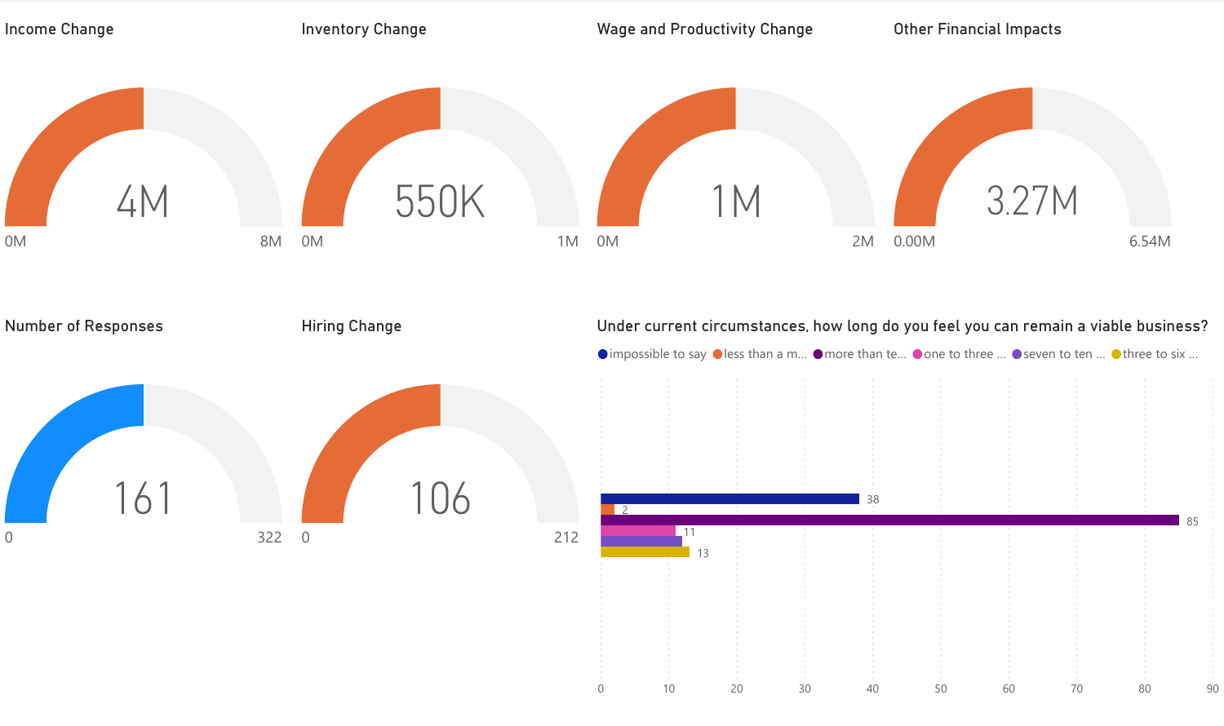